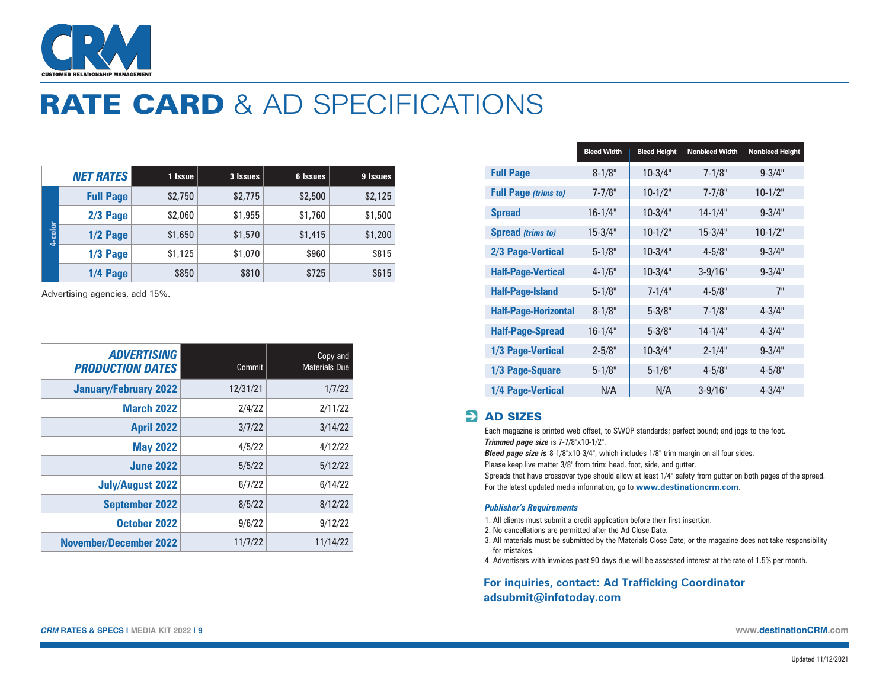

# RATE CARD & AD SPECIFICATIONS

|         | <b>NET RATES</b> | 1 Issue | 3 Issues | <b>6 Issues</b> | 9 Issues |
|---------|------------------|---------|----------|-----------------|----------|
| 4-color | <b>Full Page</b> | \$2,750 | \$2,775  | \$2,500         | \$2,125  |
|         | $2/3$ Page       | \$2,060 | \$1,955  | \$1,760         | \$1,500  |
|         | $1/2$ Page       | \$1,650 | \$1,570  | \$1,415         | \$1,200  |
|         | $1/3$ Page       | \$1,125 | \$1,070  | \$960           | \$815    |
|         | $1/4$ Page       | \$850   | \$810    | \$725           | \$615    |

Advertising agencies, add 15%.

| <b>ADVERTISING</b><br><b>PRODUCTION DATES</b> | Commit   | Copy and<br><b>Materials Due</b> |
|-----------------------------------------------|----------|----------------------------------|
| <b>January/February 2022</b>                  | 12/31/21 | 1/7/22                           |
| <b>March 2022</b>                             | 2/4/22   | 2/11/22                          |
| <b>April 2022</b>                             | 3/7/22   | 3/14/22                          |
| <b>May 2022</b>                               | 4/5/22   | 4/12/22                          |
| <b>June 2022</b>                              | 5/5/22   | 5/12/22                          |
| <b>July/August 2022</b>                       | 6/7/22   | 6/14/22                          |
| <b>September 2022</b>                         | 8/5/22   | 8/12/22                          |
| October 2022                                  | 9/6/22   | 9/12/22                          |
| <b>November/December 2022</b>                 | 11/7/22  | 11/14/22                         |

|                             | <b>Bleed Width</b> | <b>Bleed Height</b> | <b>Nonbleed Width</b> | <b>Nonbleed Height</b> |
|-----------------------------|--------------------|---------------------|-----------------------|------------------------|
| <b>Full Page</b>            | $8 - 1/8"$         | $10 - 3/4"$         | $7 - 1/8"$            | $9 - 3/4"$             |
| <b>Full Page (trims to)</b> | $7 - 7/8"$         | $10 - 1/2"$         | $7 - 7/8$ "           | $10 - 1/2$ "           |
| <b>Spread</b>               | $16 - 1/4$ "       | $10 - 3/4"$         | $14 - 1/4$ "          | $9 - 3/4$ "            |
| <b>Spread (trims to)</b>    | $15 - 3/4"$        | $10 - 1/2$ "        | $15 - 3/4"$           | $10 - 1/2$ "           |
| 2/3 Page-Vertical           | $5 - 1/8"$         | $10 - 3/4"$         | $4 - 5/8"$            | $9 - 3/4"$             |
| <b>Half-Page-Vertical</b>   | $4 - 1/6"$         | $10 - 3/4"$         | $3 - 9/16"$           | $9 - 3/4"$             |
| <b>Half-Page-Island</b>     | $5 - 1/8"$         | $7 - 1/4$ "         | $4 - 5/8"$            | 7"                     |
| <b>Half-Page-Horizontal</b> | $8 - 1/8"$         | $5 - 3/8"$          | $7 - 1/8"$            | $4 - 3/4$ "            |
| <b>Half-Page-Spread</b>     | $16 - 1/4$ "       | $5 - 3/8"$          | $14 - 1/4$ "          | $4 - 3/4"$             |
| 1/3 Page-Vertical           | $2 - 5/8"$         | $10 - 3/4"$         | $2 - 1/4"$            | $9 - 3/4"$             |
| 1/3 Page-Square             | $5 - 1/8"$         | $5 - 1/8"$          | $4 - 5/8"$            | $4 - 5/8"$             |
| 1/4 Page-Vertical           | N/A                | N/A                 | $3 - 9/16"$           | $4 - 3/4"$             |

## **EX AD SIZES**

Each magazine is printed web offset, to SWOP standards; perfect bound; and jogs to the foot. *Trimmed page size* is 7-7/8"x10-1/2".

*Bleed page size is 8-1/8"x10-3/4", which includes 1/8" trim margin on all four sides.* 

Please keep live matter 3/8" from trim: head, foot, side, and gutter.

Spreads that have crossover type should allow at least 1/4" safety from gutter on both pages of the spread. For the latest updated media information, go to **[www.destinationcrm.com](http://www.destinationcrm.com)**.

#### *Publisher's Requirements*

- 1. All clients must submit a credit application before their first insertion.
- 2. No cancellations are permitted after the Ad Close Date.
- 3. All materials must be submitted by the Materials Close Date, or the magazine does not take responsibility for mistakes.
- 4. Advertisers with invoices past 90 days due will be assessed interest at the rate of 1.5% per month.

### **For inquiries, contact: Ad Trafficking Coordinator [adsubmit@infotoday.com](mailto:adsubmit@infotoday.com)**